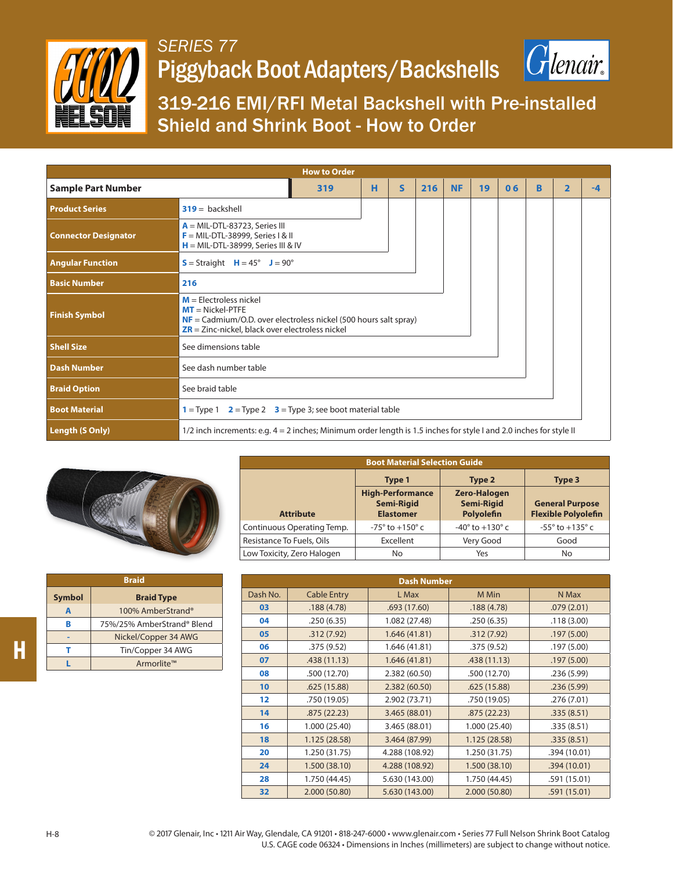

## *SERIES 77* Piggyback Boot Adapters/Backshells



319-216 EMI/RFI Metal Backshell with Pre-installed Shield and Shrink Boot - How to Order

| <b>How to Order</b>         |                                                                                                                                                                                            |   |   |     |           |    |    |   |                          |    |
|-----------------------------|--------------------------------------------------------------------------------------------------------------------------------------------------------------------------------------------|---|---|-----|-----------|----|----|---|--------------------------|----|
| <b>Sample Part Number</b>   | 319                                                                                                                                                                                        | н | S | 216 | <b>NF</b> | 19 | 06 | B | $\overline{\phantom{a}}$ | -4 |
| <b>Product Series</b>       | $319 =$ backshell                                                                                                                                                                          |   |   |     |           |    |    |   |                          |    |
| <b>Connector Designator</b> | $A = MIL-DTL-83723$ , Series III<br>$F = MIL-DTL-38999$ , Series I & II<br>$H = MIL-DTL-38999$ , Series III & IV                                                                           |   |   |     |           |    |    |   |                          |    |
| <b>Angular Function</b>     | $S =$ Straight $H = 45^\circ$ J = 90°                                                                                                                                                      |   |   |     |           |    |    |   |                          |    |
| <b>Basic Number</b>         | 216                                                                                                                                                                                        |   |   |     |           |    |    |   |                          |    |
| <b>Finish Symbol</b>        | $M =$ Flectroless nickel<br>$MT = Nickel-PTFE$<br>$NF = \text{Cadmium/O.D. over electrodes nickel}$ (500 hours salt spray)<br>$\overline{ZR}$ = Zinc-nickel, black over electroless nickel |   |   |     |           |    |    |   |                          |    |
| <b>Shell Size</b>           | See dimensions table                                                                                                                                                                       |   |   |     |           |    |    |   |                          |    |
| <b>Dash Number</b>          | See dash number table                                                                                                                                                                      |   |   |     |           |    |    |   |                          |    |
| <b>Braid Option</b>         | See braid table                                                                                                                                                                            |   |   |     |           |    |    |   |                          |    |
| <b>Boot Material</b>        | $1 =$ Type 1 $2 =$ Type 2 $3 =$ Type 3; see boot material table                                                                                                                            |   |   |     |           |    |    |   |                          |    |
| Length (S Only)             | 1/2 inch increments: e.g. 4 = 2 inches; Minimum order length is 1.5 inches for style I and 2.0 inches for style II                                                                         |   |   |     |           |    |    |   |                          |    |



| <b>Braid</b>  |                            |  |  |  |  |
|---------------|----------------------------|--|--|--|--|
| <b>Symbol</b> | <b>Braid Type</b>          |  |  |  |  |
| A             | 100% AmberStrand®          |  |  |  |  |
| в             | 75%/25% AmberStrand® Blend |  |  |  |  |
|               | Nickel/Copper 34 AWG       |  |  |  |  |
|               | Tin/Copper 34 AWG          |  |  |  |  |
|               | Armorlite™                 |  |  |  |  |

| <b>Boot Material Selection Guide</b> |                                                                  |                                                        |                                                      |  |  |  |
|--------------------------------------|------------------------------------------------------------------|--------------------------------------------------------|------------------------------------------------------|--|--|--|
|                                      | <b>Type 1</b>                                                    | Type 2                                                 | Type 3                                               |  |  |  |
| <b>Attribute</b>                     | <b>High-Performance</b><br><b>Semi-Rigid</b><br><b>Elastomer</b> | <b>Zero-Halogen</b><br><b>Semi-Rigid</b><br>Polyolefin | <b>General Purpose</b><br><b>Flexible Polyolefin</b> |  |  |  |
| Continuous Operating Temp.           | $-75^{\circ}$ to $+150^{\circ}$ c                                | $-40^{\circ}$ to $+130^{\circ}$ c                      | $-55^{\circ}$ to $+135^{\circ}$ c                    |  |  |  |
| Resistance To Fuels, Oils            | Excellent                                                        | Very Good                                              | Good                                                 |  |  |  |
| Low Toxicity, Zero Halogen           | No                                                               | Yes                                                    | No                                                   |  |  |  |

| <b>Dash Number</b> |                    |                |               |              |  |  |
|--------------------|--------------------|----------------|---------------|--------------|--|--|
| Dash No.           | <b>Cable Entry</b> | L Max          | M Min         | N Max        |  |  |
| 03                 | .188(4.78)         | .693(17.60)    | .188(4.78)    | .079(2.01)   |  |  |
| 04                 | .250(6.35)         | 1.082 (27.48)  | .250(6.35)    | .118(3.00)   |  |  |
| 05                 | .312(7.92)         | 1.646 (41.81)  | .312(7.92)    | .197(5.00)   |  |  |
| 06                 | .375 (9.52)        | 1.646 (41.81)  | .375(9.52)    | .197(5.00)   |  |  |
| 07                 | .438(11.13)        | 1.646 (41.81)  | .438(11.13)   | .197(5.00)   |  |  |
| 08                 | .500 (12.70)       | 2.382 (60.50)  | .500 (12.70)  | .236(5.99)   |  |  |
| 10 <sup>°</sup>    | .625(15.88)        | 2.382 (60.50)  | .625(15.88)   | .236(5.99)   |  |  |
| $12 \,$            | .750 (19.05)       | 2.902 (73.71)  | .750 (19.05)  | .276(7.01)   |  |  |
| 14                 | .875(22.23)        | 3.465 (88.01)  | .875(22.23)   | .335(8.51)   |  |  |
| 16                 | 1.000 (25.40)      | 3.465 (88.01)  | 1.000 (25.40) | .335(8.51)   |  |  |
| 18                 | 1.125 (28.58)      | 3.464 (87.99)  | 1.125 (28.58) | .335(8.51)   |  |  |
| 20                 | 1.250 (31.75)      | 4.288 (108.92) | 1.250 (31.75) | .394 (10.01) |  |  |
| 24                 | 1.500 (38.10)      | 4.288 (108.92) | 1.500 (38.10) | .394(10.01)  |  |  |
| 28                 | 1.750 (44.45)      | 5.630 (143.00) | 1.750 (44.45) | .591 (15.01) |  |  |
| 32                 | 2.000 (50.80)      | 5.630 (143.00) | 2.000 (50.80) | .591(15.01)  |  |  |